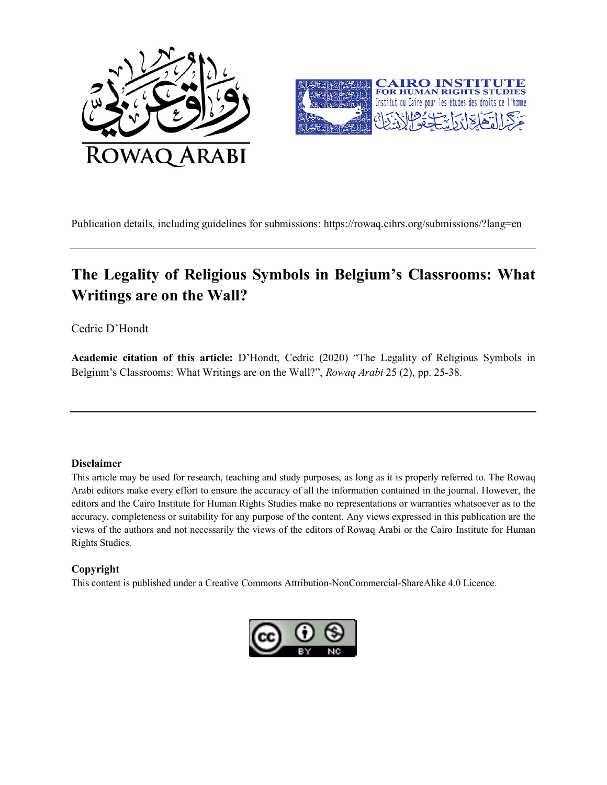



Publication details, including guidelines for submissions: https://rowaq.cihrs.org/submissions/?lang=en

# **The Legality of Religious Symbols in Belgium's Classrooms: What Writings are on the Wall?**

Cedric D'Hondt

**Academic citation of this article:** D'Hondt, Cedric (2020) "The Legality of Religious Symbols in Belgium's Classrooms: What Writings are on the Wall?", *Rowaq Arabi* 25 (2), pp. 25-38.

#### **Disclaimer**

This article may be used for research, teaching and study purposes, as long as it is properly referred to. The Rowaq Arabi editors make every effort to ensure the accuracy of all the information contained in the journal. However, the editors and the Cairo Institute for Human Rights Studies make no representations or warranties whatsoever as to the accuracy, completeness or suitability for any purpose of the content. Any views expressed in this publication are the views of the authors and not necessarily the views of the editors of Rowaq Arabi or the Cairo Institute for Human Rights Studies.

#### **Copyright**

This content is published under a Creative Commons Attribution-NonCommercial-ShareAlike 4.0 Licence.

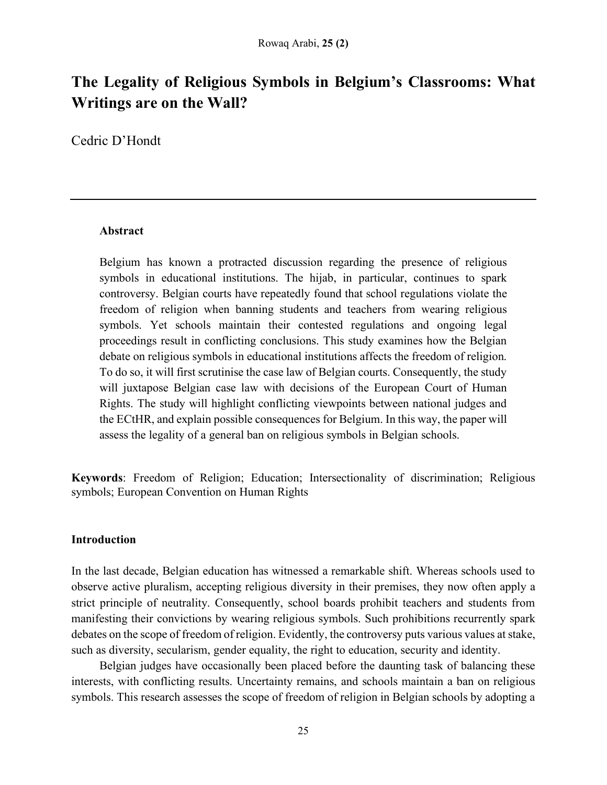# **The Legality of Religious Symbols in Belgium's Classrooms: What Writings are on the Wall?**

Cedric D'Hondt

## **Abstract**

Belgium has known a protracted discussion regarding the presence of religious symbols in educational institutions. The hijab, in particular, continues to spark controversy. Belgian courts have repeatedly found that school regulations violate the freedom of religion when banning students and teachers from wearing religious symbols. Yet schools maintain their contested regulations and ongoing legal proceedings result in conflicting conclusions. This study examines how the Belgian debate on religious symbols in educational institutions affects the freedom of religion. To do so, it will first scrutinise the case law of Belgian courts. Consequently, the study will juxtapose Belgian case law with decisions of the European Court of Human Rights. The study will highlight conflicting viewpoints between national judges and the ECtHR, and explain possible consequences for Belgium. In this way, the paper will assess the legality of a general ban on religious symbols in Belgian schools.

**Keywords**: Freedom of Religion; Education; Intersectionality of discrimination; Religious symbols; European Convention on Human Rights

## **Introduction**

In the last decade, Belgian education has witnessed a remarkable shift. Whereas schools used to observe active pluralism, accepting religious diversity in their premises, they now often apply a strict principle of neutrality. Consequently, school boards prohibit teachers and students from manifesting their convictions by wearing religious symbols. Such prohibitions recurrently spark debates on the scope of freedom of religion. Evidently, the controversy puts various values at stake, such as diversity, secularism, gender equality, the right to education, security and identity.

Belgian judges have occasionally been placed before the daunting task of balancing these interests, with conflicting results. Uncertainty remains, and schools maintain a ban on religious symbols. This research assesses the scope of freedom of religion in Belgian schools by adopting a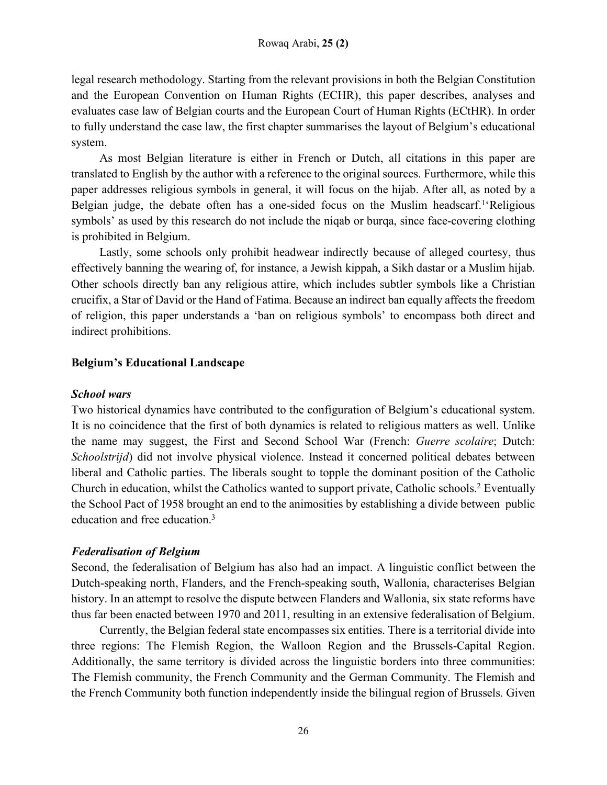legal research methodology. Starting from the relevant provisions in both the Belgian Constitution and the European Convention on Human Rights (ECHR), this paper describes, analyses and evaluates case law of Belgian courts and the European Court of Human Rights (ECtHR). In order to fully understand the case law, the first chapter summarises the layout of Belgium's educational system.

As most Belgian literature is either in French or Dutch, all citations in this paper are translated to English by the author with a reference to the original sources. Furthermore, while this paper addresses religious symbols in general, it will focus on the hijab. After all, as noted by a Belgian judge, the debate often has a one-sided focus on the Muslim headscarf.<sup>1</sup>'Religious symbols' as used by this research do not include the niqab or burqa, since face-covering clothing is prohibited in Belgium.

Lastly, some schools only prohibit headwear indirectly because of alleged courtesy, thus effectively banning the wearing of, for instance, a Jewish kippah, a Sikh dastar or a Muslim hijab. Other schools directly ban any religious attire, which includes subtler symbols like a Christian crucifix, a Star of David or the Hand of Fatima. Because an indirect ban equally affects the freedom of religion, this paper understands a 'ban on religious symbols' to encompass both direct and indirect prohibitions.

## **Belgium's Educational Landscape**

## *School wars*

Two historical dynamics have contributed to the configuration of Belgium's educational system. It is no coincidence that the first of both dynamics is related to religious matters as well. Unlike the name may suggest, the First and Second School War (French: *Guerre scolaire*; Dutch: *Schoolstrijd*) did not involve physical violence. Instead it concerned political debates between liberal and Catholic parties. The liberals sought to topple the dominant position of the Catholic Church in education, whilst the Catholics wanted to support private, Catholic schools.2 Eventually the School Pact of 1958 brought an end to the animosities by establishing a divide between public education and free education.<sup>3</sup>

## *Federalisation of Belgium*

Second, the federalisation of Belgium has also had an impact. A linguistic conflict between the Dutch-speaking north, Flanders, and the French-speaking south, Wallonia, characterises Belgian history. In an attempt to resolve the dispute between Flanders and Wallonia, six state reforms have thus far been enacted between 1970 and 2011, resulting in an extensive federalisation of Belgium.

Currently, the Belgian federal state encompasses six entities. There is a territorial divide into three regions: The Flemish Region, the Walloon Region and the Brussels-Capital Region. Additionally, the same territory is divided across the linguistic borders into three communities: The Flemish community, the French Community and the German Community. The Flemish and the French Community both function independently inside the bilingual region of Brussels. Given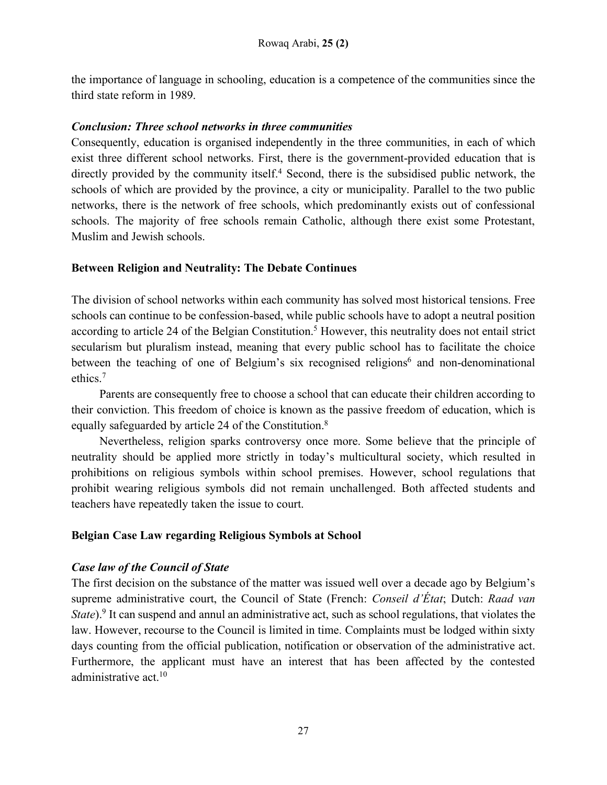the importance of language in schooling, education is a competence of the communities since the third state reform in 1989.

## *Conclusion: Three school networks in three communities*

Consequently, education is organised independently in the three communities, in each of which exist three different school networks. First, there is the government-provided education that is directly provided by the community itself.<sup>4</sup> Second, there is the subsidised public network, the schools of which are provided by the province, a city or municipality. Parallel to the two public networks, there is the network of free schools, which predominantly exists out of confessional schools. The majority of free schools remain Catholic, although there exist some Protestant, Muslim and Jewish schools.

## **Between Religion and Neutrality: The Debate Continues**

The division of school networks within each community has solved most historical tensions. Free schools can continue to be confession-based, while public schools have to adopt a neutral position according to article 24 of the Belgian Constitution.<sup>5</sup> However, this neutrality does not entail strict secularism but pluralism instead, meaning that every public school has to facilitate the choice between the teaching of one of Belgium's six recognised religions<sup> $6$ </sup> and non-denominational ethics.7

Parents are consequently free to choose a school that can educate their children according to their conviction. This freedom of choice is known as the passive freedom of education, which is equally safeguarded by article 24 of the Constitution.8

Nevertheless, religion sparks controversy once more. Some believe that the principle of neutrality should be applied more strictly in today's multicultural society, which resulted in prohibitions on religious symbols within school premises. However, school regulations that prohibit wearing religious symbols did not remain unchallenged. Both affected students and teachers have repeatedly taken the issue to court.

# **Belgian Case Law regarding Religious Symbols at School**

# *Case law of the Council of State*

The first decision on the substance of the matter was issued well over a decade ago by Belgium's supreme administrative court, the Council of State (French: *Conseil d'État*; Dutch: *Raad van State*).<sup>9</sup> It can suspend and annul an administrative act, such as school regulations, that violates the law. However, recourse to the Council is limited in time. Complaints must be lodged within sixty days counting from the official publication, notification or observation of the administrative act. Furthermore, the applicant must have an interest that has been affected by the contested administrative act.10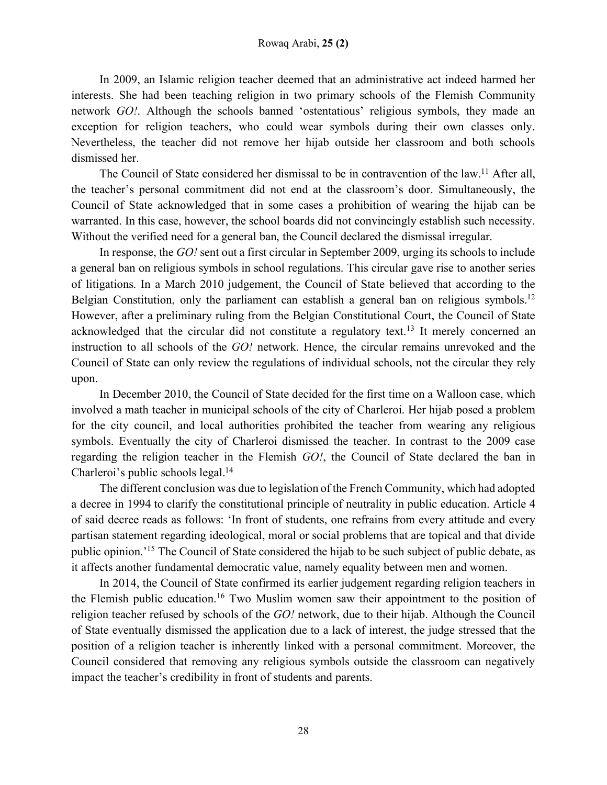In 2009, an Islamic religion teacher deemed that an administrative act indeed harmed her interests. She had been teaching religion in two primary schools of the Flemish Community network *GO!*. Although the schools banned 'ostentatious' religious symbols, they made an exception for religion teachers, who could wear symbols during their own classes only. Nevertheless, the teacher did not remove her hijab outside her classroom and both schools dismissed her.

The Council of State considered her dismissal to be in contravention of the law.<sup>11</sup> After all, the teacher's personal commitment did not end at the classroom's door. Simultaneously, the Council of State acknowledged that in some cases a prohibition of wearing the hijab can be warranted. In this case, however, the school boards did not convincingly establish such necessity. Without the verified need for a general ban, the Council declared the dismissal irregular.

In response, the *GO!* sent out a first circular in September 2009, urging its schools to include a general ban on religious symbols in school regulations. This circular gave rise to another series of litigations. In a March 2010 judgement, the Council of State believed that according to the Belgian Constitution, only the parliament can establish a general ban on religious symbols.<sup>12</sup> However, after a preliminary ruling from the Belgian Constitutional Court, the Council of State acknowledged that the circular did not constitute a regulatory text.<sup>13</sup> It merely concerned an instruction to all schools of the *GO!* network. Hence, the circular remains unrevoked and the Council of State can only review the regulations of individual schools, not the circular they rely upon.

In December 2010, the Council of State decided for the first time on a Walloon case, which involved a math teacher in municipal schools of the city of Charleroi. Her hijab posed a problem for the city council, and local authorities prohibited the teacher from wearing any religious symbols. Eventually the city of Charleroi dismissed the teacher. In contrast to the 2009 case regarding the religion teacher in the Flemish *GO!*, the Council of State declared the ban in Charleroi's public schools legal.<sup>14</sup>

The different conclusion was due to legislation of the French Community, which had adopted a decree in 1994 to clarify the constitutional principle of neutrality in public education. Article 4 of said decree reads as follows: 'In front of students, one refrains from every attitude and every partisan statement regarding ideological, moral or social problems that are topical and that divide public opinion.'15 The Council of State considered the hijab to be such subject of public debate, as it affects another fundamental democratic value, namely equality between men and women.

In 2014, the Council of State confirmed its earlier judgement regarding religion teachers in the Flemish public education.<sup>16</sup> Two Muslim women saw their appointment to the position of religion teacher refused by schools of the *GO!* network, due to their hijab. Although the Council of State eventually dismissed the application due to a lack of interest, the judge stressed that the position of a religion teacher is inherently linked with a personal commitment. Moreover, the Council considered that removing any religious symbols outside the classroom can negatively impact the teacher's credibility in front of students and parents.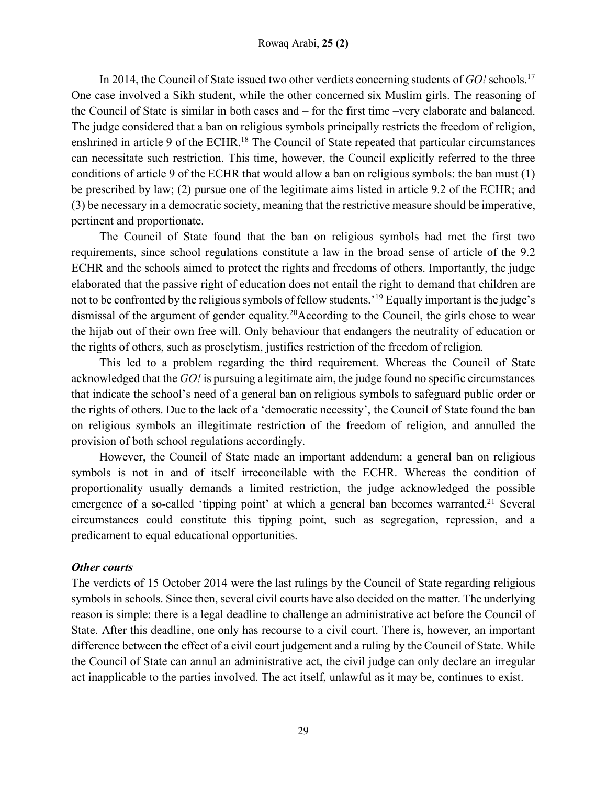In 2014, the Council of State issued two other verdicts concerning students of *GO!* schools.17 One case involved a Sikh student, while the other concerned six Muslim girls. The reasoning of the Council of State is similar in both cases and – for the first time –very elaborate and balanced. The judge considered that a ban on religious symbols principally restricts the freedom of religion, enshrined in article 9 of the ECHR.18 The Council of State repeated that particular circumstances can necessitate such restriction. This time, however, the Council explicitly referred to the three conditions of article 9 of the ECHR that would allow a ban on religious symbols: the ban must (1) be prescribed by law; (2) pursue one of the legitimate aims listed in article 9.2 of the ECHR; and (3) be necessary in a democratic society, meaning that the restrictive measure should be imperative, pertinent and proportionate.

The Council of State found that the ban on religious symbols had met the first two requirements, since school regulations constitute a law in the broad sense of article of the 9.2 ECHR and the schools aimed to protect the rights and freedoms of others. Importantly, the judge elaborated that the passive right of education does not entail the right to demand that children are not to be confronted by the religious symbols of fellow students.'19 Equally important is the judge's dismissal of the argument of gender equality.<sup>20</sup>According to the Council, the girls chose to wear the hijab out of their own free will. Only behaviour that endangers the neutrality of education or the rights of others, such as proselytism, justifies restriction of the freedom of religion.

This led to a problem regarding the third requirement. Whereas the Council of State acknowledged that the *GO!* is pursuing a legitimate aim, the judge found no specific circumstances that indicate the school's need of a general ban on religious symbols to safeguard public order or the rights of others. Due to the lack of a 'democratic necessity', the Council of State found the ban on religious symbols an illegitimate restriction of the freedom of religion, and annulled the provision of both school regulations accordingly.

However, the Council of State made an important addendum: a general ban on religious symbols is not in and of itself irreconcilable with the ECHR. Whereas the condition of proportionality usually demands a limited restriction, the judge acknowledged the possible emergence of a so-called 'tipping point' at which a general ban becomes warranted.<sup>21</sup> Several circumstances could constitute this tipping point, such as segregation, repression, and a predicament to equal educational opportunities.

## *Other courts*

The verdicts of 15 October 2014 were the last rulings by the Council of State regarding religious symbols in schools. Since then, several civil courts have also decided on the matter. The underlying reason is simple: there is a legal deadline to challenge an administrative act before the Council of State. After this deadline, one only has recourse to a civil court. There is, however, an important difference between the effect of a civil court judgement and a ruling by the Council of State. While the Council of State can annul an administrative act, the civil judge can only declare an irregular act inapplicable to the parties involved. The act itself, unlawful as it may be, continues to exist.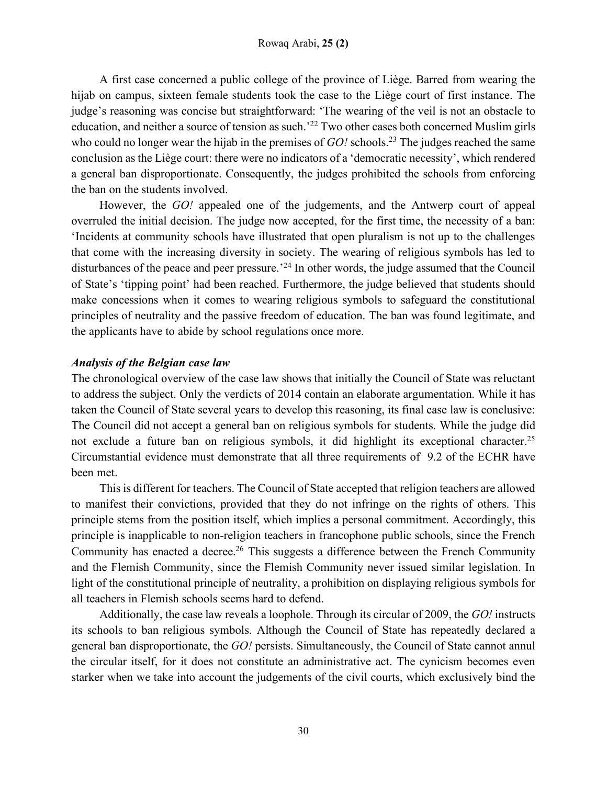A first case concerned a public college of the province of Liège. Barred from wearing the hijab on campus, sixteen female students took the case to the Liège court of first instance. The judge's reasoning was concise but straightforward: 'The wearing of the veil is not an obstacle to education, and neither a source of tension as such.'22 Two other cases both concerned Muslim girls who could no longer wear the hijab in the premises of *GO!* schools.<sup>23</sup> The judges reached the same conclusion as the Liège court: there were no indicators of a 'democratic necessity', which rendered a general ban disproportionate. Consequently, the judges prohibited the schools from enforcing the ban on the students involved.

However, the *GO!* appealed one of the judgements, and the Antwerp court of appeal overruled the initial decision. The judge now accepted, for the first time, the necessity of a ban: 'Incidents at community schools have illustrated that open pluralism is not up to the challenges that come with the increasing diversity in society. The wearing of religious symbols has led to disturbances of the peace and peer pressure.<sup>24</sup> In other words, the judge assumed that the Council of State's 'tipping point' had been reached. Furthermore, the judge believed that students should make concessions when it comes to wearing religious symbols to safeguard the constitutional principles of neutrality and the passive freedom of education. The ban was found legitimate, and the applicants have to abide by school regulations once more.

## *Analysis of the Belgian case law*

The chronological overview of the case law shows that initially the Council of State was reluctant to address the subject. Only the verdicts of 2014 contain an elaborate argumentation. While it has taken the Council of State several years to develop this reasoning, its final case law is conclusive: The Council did not accept a general ban on religious symbols for students. While the judge did not exclude a future ban on religious symbols, it did highlight its exceptional character.<sup>25</sup> Circumstantial evidence must demonstrate that all three requirements of 9.2 of the ECHR have been met.

This is different for teachers. The Council of State accepted that religion teachers are allowed to manifest their convictions, provided that they do not infringe on the rights of others. This principle stems from the position itself, which implies a personal commitment. Accordingly, this principle is inapplicable to non-religion teachers in francophone public schools, since the French Community has enacted a decree.<sup>26</sup> This suggests a difference between the French Community and the Flemish Community, since the Flemish Community never issued similar legislation. In light of the constitutional principle of neutrality, a prohibition on displaying religious symbols for all teachers in Flemish schools seems hard to defend.

Additionally, the case law reveals a loophole. Through its circular of 2009, the *GO!* instructs its schools to ban religious symbols. Although the Council of State has repeatedly declared a general ban disproportionate, the *GO!* persists. Simultaneously, the Council of State cannot annul the circular itself, for it does not constitute an administrative act. The cynicism becomes even starker when we take into account the judgements of the civil courts, which exclusively bind the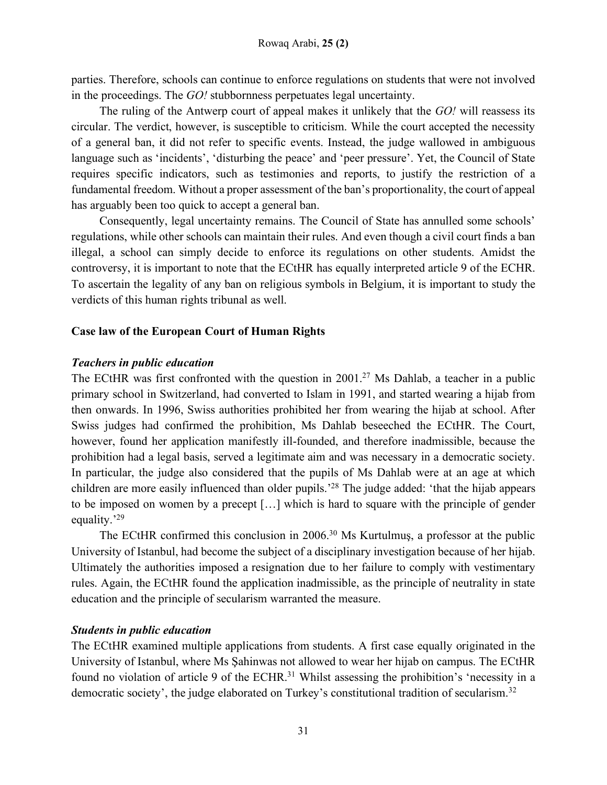parties. Therefore, schools can continue to enforce regulations on students that were not involved in the proceedings. The *GO!* stubbornness perpetuates legal uncertainty.

The ruling of the Antwerp court of appeal makes it unlikely that the *GO!* will reassess its circular. The verdict, however, is susceptible to criticism. While the court accepted the necessity of a general ban, it did not refer to specific events. Instead, the judge wallowed in ambiguous language such as 'incidents', 'disturbing the peace' and 'peer pressure'. Yet, the Council of State requires specific indicators, such as testimonies and reports, to justify the restriction of a fundamental freedom. Without a proper assessment of the ban's proportionality, the court of appeal has arguably been too quick to accept a general ban.

Consequently, legal uncertainty remains. The Council of State has annulled some schools' regulations, while other schools can maintain their rules. And even though a civil court finds a ban illegal, a school can simply decide to enforce its regulations on other students. Amidst the controversy, it is important to note that the ECtHR has equally interpreted article 9 of the ECHR. To ascertain the legality of any ban on religious symbols in Belgium, it is important to study the verdicts of this human rights tribunal as well.

## **Case law of the European Court of Human Rights**

## *Teachers in public education*

The ECtHR was first confronted with the question in  $2001<sup>27</sup>$  Ms Dahlab, a teacher in a public primary school in Switzerland, had converted to Islam in 1991, and started wearing a hijab from then onwards. In 1996, Swiss authorities prohibited her from wearing the hijab at school. After Swiss judges had confirmed the prohibition, Ms Dahlab beseeched the ECtHR. The Court, however, found her application manifestly ill-founded, and therefore inadmissible, because the prohibition had a legal basis, served a legitimate aim and was necessary in a democratic society. In particular, the judge also considered that the pupils of Ms Dahlab were at an age at which children are more easily influenced than older pupils.'28 The judge added: 'that the hijab appears to be imposed on women by a precept […] which is hard to square with the principle of gender equality.'29

The ECtHR confirmed this conclusion in 2006.<sup>30</sup> Ms Kurtulmuş, a professor at the public University of Istanbul, had become the subject of a disciplinary investigation because of her hijab. Ultimately the authorities imposed a resignation due to her failure to comply with vestimentary rules. Again, the ECtHR found the application inadmissible, as the principle of neutrality in state education and the principle of secularism warranted the measure.

## *Students in public education*

The ECtHR examined multiple applications from students. A first case equally originated in the University of Istanbul, where Ms Şahinwas not allowed to wear her hijab on campus. The ECtHR found no violation of article 9 of the ECHR.<sup>31</sup> Whilst assessing the prohibition's 'necessity in a democratic society', the judge elaborated on Turkey's constitutional tradition of secularism.<sup>32</sup>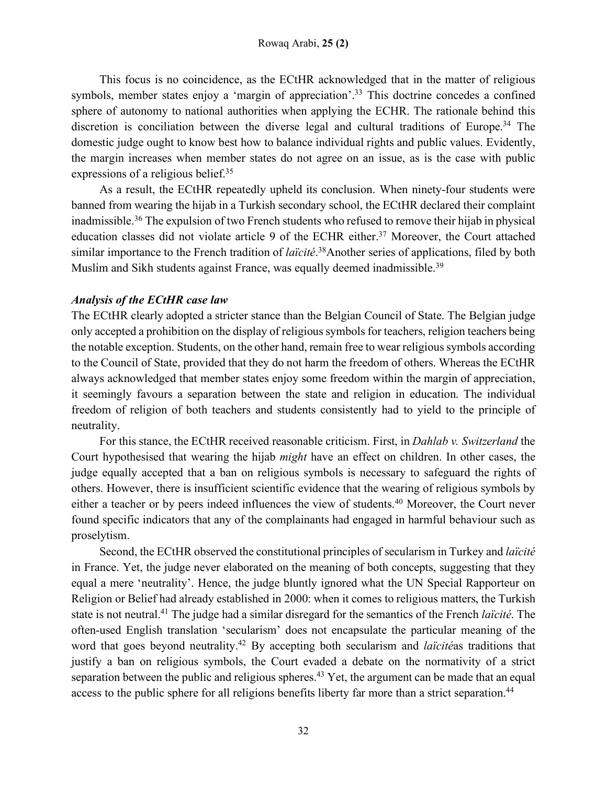This focus is no coincidence, as the ECtHR acknowledged that in the matter of religious symbols, member states enjoy a 'margin of appreciation'.<sup>33</sup> This doctrine concedes a confined sphere of autonomy to national authorities when applying the ECHR. The rationale behind this discretion is conciliation between the diverse legal and cultural traditions of Europe.<sup>34</sup> The domestic judge ought to know best how to balance individual rights and public values. Evidently, the margin increases when member states do not agree on an issue, as is the case with public expressions of a religious belief.<sup>35</sup>

As a result, the ECtHR repeatedly upheld its conclusion. When ninety-four students were banned from wearing the hijab in a Turkish secondary school, the ECtHR declared their complaint inadmissible.36 The expulsion of two French students who refused to remove their hijab in physical education classes did not violate article 9 of the ECHR either.<sup>37</sup> Moreover, the Court attached similar importance to the French tradition of *laïcité*. 38Another series of applications, filed by both Muslim and Sikh students against France, was equally deemed inadmissible.<sup>39</sup>

## *Analysis of the ECtHR case law*

The ECtHR clearly adopted a stricter stance than the Belgian Council of State. The Belgian judge only accepted a prohibition on the display of religious symbols for teachers, religion teachers being the notable exception. Students, on the other hand, remain free to wear religious symbols according to the Council of State, provided that they do not harm the freedom of others. Whereas the ECtHR always acknowledged that member states enjoy some freedom within the margin of appreciation, it seemingly favours a separation between the state and religion in education. The individual freedom of religion of both teachers and students consistently had to yield to the principle of neutrality.

For this stance, the ECtHR received reasonable criticism. First, in *Dahlab v. Switzerland* the Court hypothesised that wearing the hijab *might* have an effect on children. In other cases, the judge equally accepted that a ban on religious symbols is necessary to safeguard the rights of others. However, there is insufficient scientific evidence that the wearing of religious symbols by either a teacher or by peers indeed influences the view of students.<sup>40</sup> Moreover, the Court never found specific indicators that any of the complainants had engaged in harmful behaviour such as proselytism.

Second, the ECtHR observed the constitutional principles of secularism in Turkey and *laïcité* in France. Yet, the judge never elaborated on the meaning of both concepts, suggesting that they equal a mere 'neutrality'. Hence, the judge bluntly ignored what the UN Special Rapporteur on Religion or Belief had already established in 2000: when it comes to religious matters, the Turkish state is not neutral.41 The judge had a similar disregard for the semantics of the French *laïcité*. The often-used English translation 'secularism' does not encapsulate the particular meaning of the word that goes beyond neutrality.42 By accepting both secularism and *laïcité*as traditions that justify a ban on religious symbols, the Court evaded a debate on the normativity of a strict separation between the public and religious spheres.<sup>43</sup> Yet, the argument can be made that an equal access to the public sphere for all religions benefits liberty far more than a strict separation.<sup>44</sup>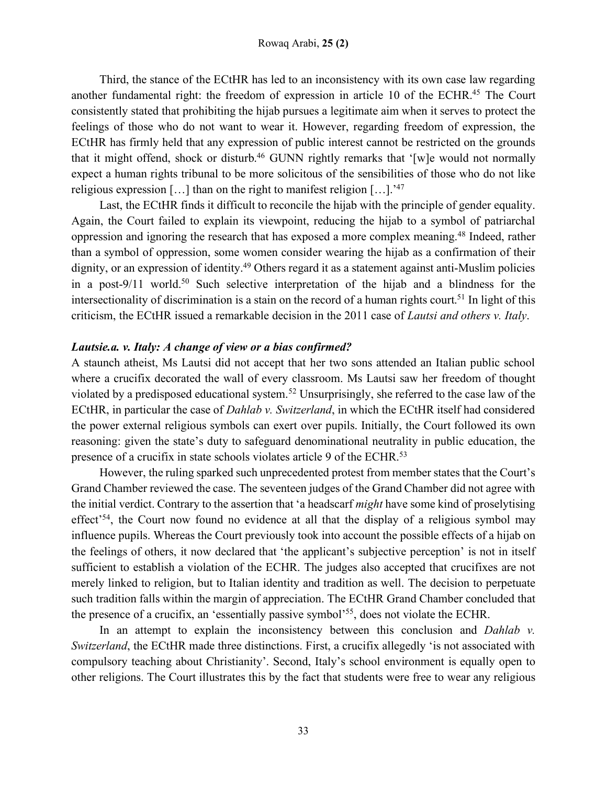Third, the stance of the ECtHR has led to an inconsistency with its own case law regarding another fundamental right: the freedom of expression in article 10 of the ECHR.45 The Court consistently stated that prohibiting the hijab pursues a legitimate aim when it serves to protect the feelings of those who do not want to wear it. However, regarding freedom of expression, the ECtHR has firmly held that any expression of public interest cannot be restricted on the grounds that it might offend, shock or disturb.<sup>46</sup> GUNN rightly remarks that '[w]e would not normally expect a human rights tribunal to be more solicitous of the sensibilities of those who do not like religious expression [...] than on the right to manifest religion  $[\dots]$ .<sup>'47</sup>

Last, the ECtHR finds it difficult to reconcile the hijab with the principle of gender equality. Again, the Court failed to explain its viewpoint, reducing the hijab to a symbol of patriarchal oppression and ignoring the research that has exposed a more complex meaning.48 Indeed, rather than a symbol of oppression, some women consider wearing the hijab as a confirmation of their dignity, or an expression of identity.<sup>49</sup> Others regard it as a statement against anti-Muslim policies in a post-9/11 world.<sup>50</sup> Such selective interpretation of the hijab and a blindness for the intersectionality of discrimination is a stain on the record of a human rights court.<sup>51</sup> In light of this criticism, the ECtHR issued a remarkable decision in the 2011 case of *Lautsi and others v. Italy*.

#### *Lautsie.a. v. Italy: A change of view or a bias confirmed?*

A staunch atheist, Ms Lautsi did not accept that her two sons attended an Italian public school where a crucifix decorated the wall of every classroom. Ms Lautsi saw her freedom of thought violated by a predisposed educational system.52 Unsurprisingly, she referred to the case law of the ECtHR, in particular the case of *Dahlab v. Switzerland*, in which the ECtHR itself had considered the power external religious symbols can exert over pupils. Initially, the Court followed its own reasoning: given the state's duty to safeguard denominational neutrality in public education, the presence of a crucifix in state schools violates article 9 of the ECHR.<sup>53</sup>

However, the ruling sparked such unprecedented protest from member states that the Court's Grand Chamber reviewed the case. The seventeen judges of the Grand Chamber did not agree with the initial verdict. Contrary to the assertion that 'a headscarf *might* have some kind of proselytising effect<sup>34</sup>, the Court now found no evidence at all that the display of a religious symbol may influence pupils. Whereas the Court previously took into account the possible effects of a hijab on the feelings of others, it now declared that 'the applicant's subjective perception' is not in itself sufficient to establish a violation of the ECHR. The judges also accepted that crucifixes are not merely linked to religion, but to Italian identity and tradition as well. The decision to perpetuate such tradition falls within the margin of appreciation. The ECtHR Grand Chamber concluded that the presence of a crucifix, an 'essentially passive symbol<sup>555</sup>, does not violate the ECHR.

In an attempt to explain the inconsistency between this conclusion and *Dahlab v. Switzerland*, the ECtHR made three distinctions. First, a crucifix allegedly 'is not associated with compulsory teaching about Christianity'. Second, Italy's school environment is equally open to other religions. The Court illustrates this by the fact that students were free to wear any religious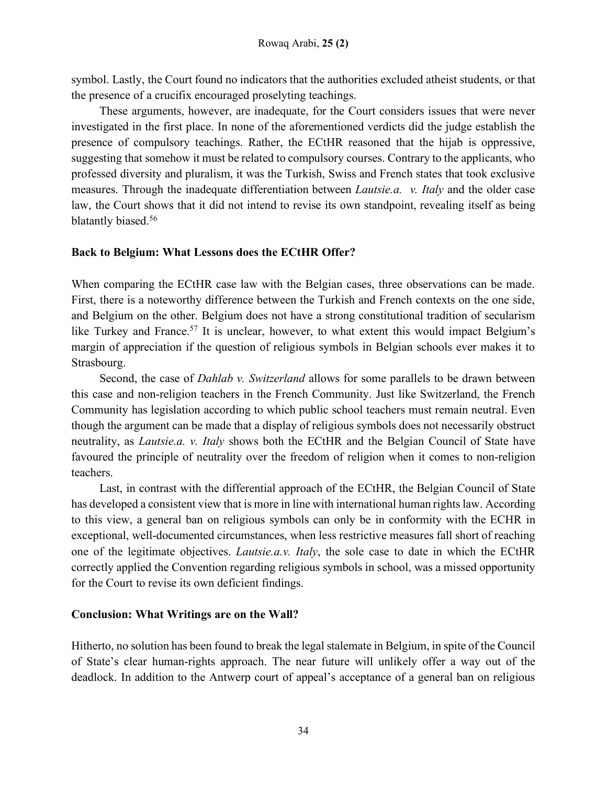symbol. Lastly, the Court found no indicators that the authorities excluded atheist students, or that the presence of a crucifix encouraged proselyting teachings.

These arguments, however, are inadequate, for the Court considers issues that were never investigated in the first place. In none of the aforementioned verdicts did the judge establish the presence of compulsory teachings. Rather, the ECtHR reasoned that the hijab is oppressive, suggesting that somehow it must be related to compulsory courses. Contrary to the applicants, who professed diversity and pluralism, it was the Turkish, Swiss and French states that took exclusive measures. Through the inadequate differentiation between *Lautsie.a. v. Italy* and the older case law, the Court shows that it did not intend to revise its own standpoint, revealing itself as being blatantly biased.<sup>56</sup>

## **Back to Belgium: What Lessons does the ECtHR Offer?**

When comparing the ECtHR case law with the Belgian cases, three observations can be made. First, there is a noteworthy difference between the Turkish and French contexts on the one side, and Belgium on the other. Belgium does not have a strong constitutional tradition of secularism like Turkey and France.<sup>57</sup> It is unclear, however, to what extent this would impact Belgium's margin of appreciation if the question of religious symbols in Belgian schools ever makes it to Strasbourg.

Second, the case of *Dahlab v. Switzerland* allows for some parallels to be drawn between this case and non-religion teachers in the French Community. Just like Switzerland, the French Community has legislation according to which public school teachers must remain neutral. Even though the argument can be made that a display of religious symbols does not necessarily obstruct neutrality, as *Lautsie.a. v. Italy* shows both the ECtHR and the Belgian Council of State have favoured the principle of neutrality over the freedom of religion when it comes to non-religion teachers.

Last, in contrast with the differential approach of the ECtHR, the Belgian Council of State has developed a consistent view that is more in line with international human rights law. According to this view, a general ban on religious symbols can only be in conformity with the ECHR in exceptional, well-documented circumstances, when less restrictive measures fall short of reaching one of the legitimate objectives. *Lautsie.a.v. Italy*, the sole case to date in which the ECtHR correctly applied the Convention regarding religious symbols in school, was a missed opportunity for the Court to revise its own deficient findings.

## **Conclusion: What Writings are on the Wall?**

Hitherto, no solution has been found to break the legal stalemate in Belgium, in spite of the Council of State's clear human-rights approach. The near future will unlikely offer a way out of the deadlock. In addition to the Antwerp court of appeal's acceptance of a general ban on religious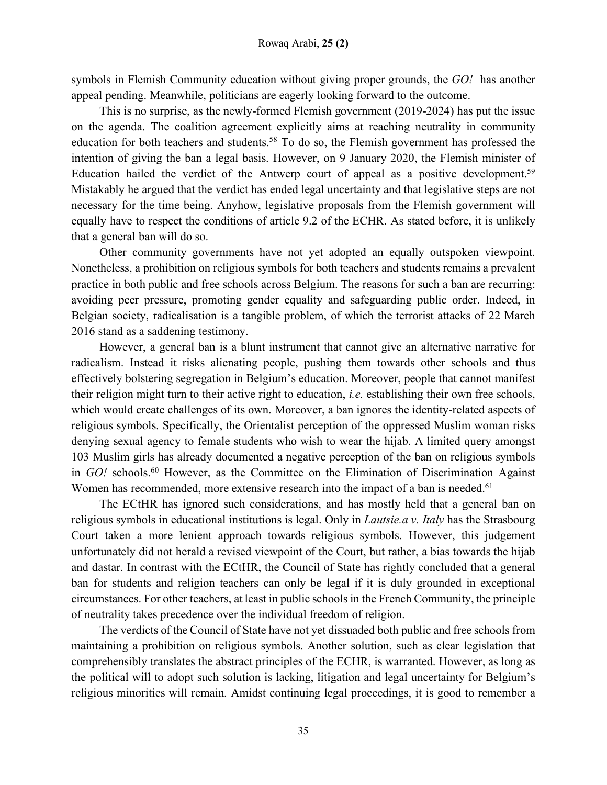symbols in Flemish Community education without giving proper grounds, the *GO!* has another appeal pending. Meanwhile, politicians are eagerly looking forward to the outcome.

This is no surprise, as the newly-formed Flemish government (2019-2024) has put the issue on the agenda. The coalition agreement explicitly aims at reaching neutrality in community education for both teachers and students.<sup>58</sup> To do so, the Flemish government has professed the intention of giving the ban a legal basis. However, on 9 January 2020, the Flemish minister of Education hailed the verdict of the Antwerp court of appeal as a positive development.<sup>59</sup> Mistakably he argued that the verdict has ended legal uncertainty and that legislative steps are not necessary for the time being. Anyhow, legislative proposals from the Flemish government will equally have to respect the conditions of article 9.2 of the ECHR. As stated before, it is unlikely that a general ban will do so.

Other community governments have not yet adopted an equally outspoken viewpoint. Nonetheless, a prohibition on religious symbols for both teachers and students remains a prevalent practice in both public and free schools across Belgium. The reasons for such a ban are recurring: avoiding peer pressure, promoting gender equality and safeguarding public order. Indeed, in Belgian society, radicalisation is a tangible problem, of which the terrorist attacks of 22 March 2016 stand as a saddening testimony.

However, a general ban is a blunt instrument that cannot give an alternative narrative for radicalism. Instead it risks alienating people, pushing them towards other schools and thus effectively bolstering segregation in Belgium's education. Moreover, people that cannot manifest their religion might turn to their active right to education, *i.e.* establishing their own free schools, which would create challenges of its own. Moreover, a ban ignores the identity-related aspects of religious symbols. Specifically, the Orientalist perception of the oppressed Muslim woman risks denying sexual agency to female students who wish to wear the hijab. A limited query amongst 103 Muslim girls has already documented a negative perception of the ban on religious symbols in *GO!* schools.60 However, as the Committee on the Elimination of Discrimination Against Women has recommended, more extensive research into the impact of a ban is needed.<sup>61</sup>

The ECtHR has ignored such considerations, and has mostly held that a general ban on religious symbols in educational institutions is legal. Only in *Lautsie.a v. Italy* has the Strasbourg Court taken a more lenient approach towards religious symbols. However, this judgement unfortunately did not herald a revised viewpoint of the Court, but rather, a bias towards the hijab and dastar. In contrast with the ECtHR, the Council of State has rightly concluded that a general ban for students and religion teachers can only be legal if it is duly grounded in exceptional circumstances. For other teachers, at least in public schools in the French Community, the principle of neutrality takes precedence over the individual freedom of religion.

The verdicts of the Council of State have not yet dissuaded both public and free schools from maintaining a prohibition on religious symbols. Another solution, such as clear legislation that comprehensibly translates the abstract principles of the ECHR, is warranted. However, as long as the political will to adopt such solution is lacking, litigation and legal uncertainty for Belgium's religious minorities will remain. Amidst continuing legal proceedings, it is good to remember a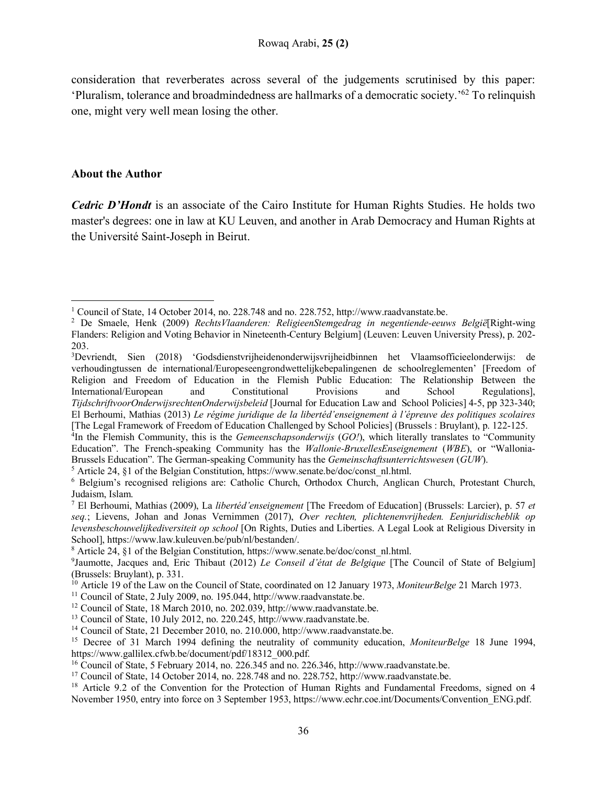consideration that reverberates across several of the judgements scrutinised by this paper: 'Pluralism, tolerance and broadmindedness are hallmarks of a democratic society.'62 To relinquish one, might very well mean losing the other.

#### **About the Author**

 $\overline{\phantom{a}}$ 

*Cedric D'Hondt* is an associate of the Cairo Institute for Human Rights Studies. He holds two master's degrees: one in law at KU Leuven, and another in Arab Democracy and Human Rights at the Université Saint-Joseph in Beirut.

<sup>1</sup> Council of State, 14 October 2014, no. 228.748 and no. 228.752, http://www.raadvanstate.be.

<sup>2</sup> De Smaele, Henk (2009) *RechtsVlaanderen: ReligieenStemgedrag in negentiende-eeuws België*[Right-wing Flanders: Religion and Voting Behavior in Nineteenth-Century Belgium] (Leuven: Leuven University Press), p. 202- 203.

<sup>&</sup>lt;sup>3</sup>Devriendt, Sien (2018) 'Godsdienstvrijheidenonderwijsvrijheidbinnen het Vlaamsofficieelonderwijs: de verhoudingtussen de international/Europeseengrondwettelijkebepalingenen de schoolreglementen' [Freedom of Religion and Freedom of Education in the Flemish Public Education: The Relationship Between the International/European and Constitutional Provisions and School Regulations], *TijdschriftvoorOnderwijsrechtenOnderwijsbeleid* [Journal for Education Law and School Policies] 4-5, pp 323-340; El Berhoumi, Mathias (2013) *Le régime juridique de la libertéd'enseignement à l'épreuve des politiques scolaires* [The Legal Framework of Freedom of Education Challenged by School Policies] (Brussels : Bruylant), p. 122-125.

<sup>4</sup> In the Flemish Community, this is the *Gemeenschapsonderwijs* (*GO!*), which literally translates to "Community Education". The French-speaking Community has the *Wallonie-BruxellesEnseignement* (*WBE*), or "Wallonia-Brussels Education". The German-speaking Community has the *Gemeinschaftsunterrichtswesen* (*GUW*).

<sup>&</sup>lt;sup>5</sup> Article 24, §1 of the Belgian Constitution, https://www.senate.be/doc/const\_nl.html.

<sup>6</sup> Belgium's recognised religions are: Catholic Church, Orthodox Church, Anglican Church, Protestant Church, Judaism, Islam.

<sup>7</sup> El Berhoumi, Mathias (2009), La *libertéd'enseignement* [The Freedom of Education] (Brussels: Larcier), p. 57 *et seq.*; Lievens, Johan and Jonas Vernimmen (2017), *Over rechten, plichtenenvrijheden. Eenjuridischeblik op levensbeschouwelijkediversiteit op school* [On Rights, Duties and Liberties. A Legal Look at Religious Diversity in School], https://www.law.kuleuven.be/pub/nl/bestanden/.

<sup>&</sup>lt;sup>8</sup> Article 24, §1 of the Belgian Constitution, https://www.senate.be/doc/const\_nl.html.

<sup>9</sup> Jaumotte, Jacques and, Eric Thibaut (2012) *Le Conseil d'état de Belgique* [The Council of State of Belgium] (Brussels: Bruylant), p. 331.

<sup>&</sup>lt;sup>10</sup> Article 19 of the Law on the Council of State, coordinated on 12 January 1973, *MoniteurBelge* 21 March 1973.

 $11$  Council of State, 2 July 2009, no. 195.044, http://www.raadvanstate.be.

<sup>12</sup> Council of State, 18 March 2010, no. 202.039, http://www.raadvanstate.be.

<sup>13</sup> Council of State, 10 July 2012, no. 220.245, http://www.raadvanstate.be.

<sup>&</sup>lt;sup>14</sup> Council of State, 21 December 2010, no. 210.000, http://www.raadvanstate.be.

<sup>15</sup> Decree of 31 March 1994 defining the neutrality of community education, *MoniteurBelge* 18 June 1994, https://www.gallilex.cfwb.be/document/pdf/18312\_000.pdf.

<sup>16</sup> Council of State, 5 February 2014, no. 226.345 and no. 226.346, http://www.raadvanstate.be.

<sup>&</sup>lt;sup>17</sup> Council of State, 14 October 2014, no. 228.748 and no. 228.752, http://www.raadvanstate.be.

<sup>&</sup>lt;sup>18</sup> Article 9.2 of the Convention for the Protection of Human Rights and Fundamental Freedoms, signed on 4 November 1950, entry into force on 3 September 1953, https://www.echr.coe.int/Documents/Convention\_ENG.pdf.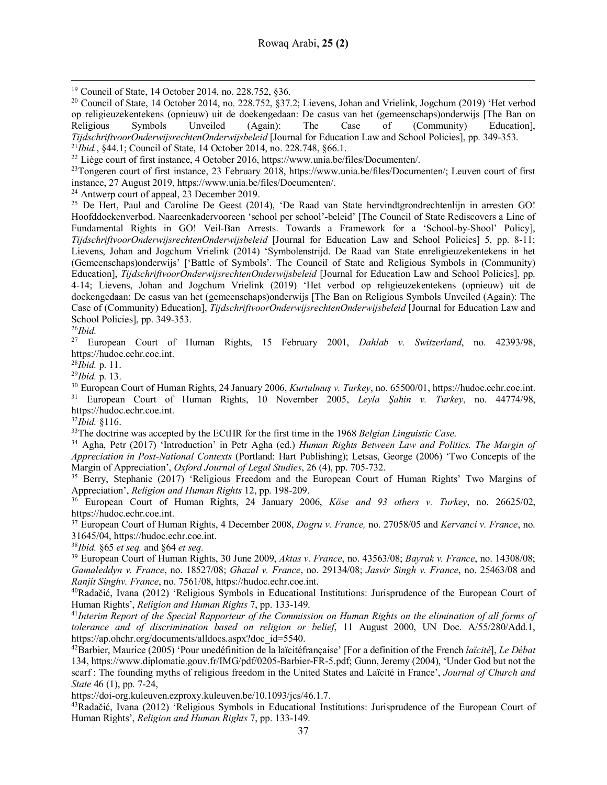<sup>19</sup> Council of State, 14 October 2014, no. 228.752, §36.

<sup>20</sup> Council of State, 14 October 2014, no. 228.752, §37.2; Lievens, Johan and Vrielink, Jogchum (2019) 'Het verbod op religieuzekentekens (opnieuw) uit de doekengedaan: De casus van het (gemeenschaps)onderwijs [The Ban on Religious Symbols Unveiled (Again): The Case of (Community) Education], *TijdschriftvoorOnderwijsrechtenOnderwijsbeleid* [Journal for Education Law and School Policies], pp. 349-353. <sup>21</sup>*Ibid.*, §44.1; Council of State, 14 October 2014, no. 228.748, §66.1.

<sup>22</sup> Liège court of first instance, 4 October 2016, https://www.unia.be/files/Documenten/.

<sup>23</sup>Tongeren court of first instance, 23 February 2018, https://www.unia.be/files/Documenten/; Leuven court of first instance, 27 August 2019, https://www.unia.be/files/Documenten/.

<sup>24</sup> Antwerp court of appeal, 23 December 2019.

<sup>25</sup> De Hert, Paul and Caroline De Geest (2014), 'De Raad van State hervindtgrondrechtenlijn in arresten GO! Hoofddoekenverbod. Naareenkadervooreen 'school per school'-beleid' [The Council of State Rediscovers a Line of Fundamental Rights in GO! Veil-Ban Arrests. Towards a Framework for a 'School-by-Shool' Policy], *TijdschriftvoorOnderwijsrechtenOnderwijsbeleid* [Journal for Education Law and School Policies] 5, pp. 8-11; Lievens, Johan and Jogchum Vrielink (2014) 'Symbolenstrijd. De Raad van State enreligieuzekentekens in het (Gemeenschaps)onderwijs' ['Battle of Symbols'. The Council of State and Religious Symbols in (Community) Education], *TijdschriftvoorOnderwijsrechtenOnderwijsbeleid* [Journal for Education Law and School Policies], pp. 4-14; Lievens, Johan and Jogchum Vrielink (2019) 'Het verbod op religieuzekentekens (opnieuw) uit de doekengedaan: De casus van het (gemeenschaps)onderwijs [The Ban on Religious Symbols Unveiled (Again): The Case of (Community) Education], *TijdschriftvoorOnderwijsrechtenOnderwijsbeleid* [Journal for Education Law and School Policies], pp. 349-353.

 $^{26}Ibid.$ <sup>27</sup> Eu

l

<sup>27</sup> European Court of Human Rights, 15 February 2001, *Dahlab v. Switzerland*, no. 42393/98, https://hudoc.echr.coe.int.

<sup>28</sup>*Ibid.* p. 11.

<sup>29</sup>*Ibid.* p. 13.

<sup>30</sup> European Court of Human Rights, 24 January 2006, *Kurtulmuş v. Turkey*, no. 65500/01, https://hudoc.echr.coe.int. <sup>31</sup> European Court of Human Rights, 10 November 2005, *Leyla Şahin v. Turkey*, no. 44774/98, https://hudoc.echr.coe.int.

<sup>32</sup>*Ibid.* §116.

33The doctrine was accepted by the ECtHR for the first time in the 1968 *Belgian Linguistic Case*.

<sup>34</sup> Agha, Petr (2017) 'Introduction' in Petr Agha (ed.) *Human Rights Between Law and Politics. The Margin of Appreciation in Post-National Contexts* (Portland: Hart Publishing); Letsas, George (2006) 'Two Concepts of the Margin of Appreciation', *Oxford Journal of Legal Studies*, 26 (4), pp. 705-732.<br><sup>35</sup> Berry, Stephanie (2017) 'Religious Freedom and the European Court of Human Rights' Two Margins of

Appreciation', *Religion and Human Rights* 12, pp. 198-209.

<sup>36</sup> European Court of Human Rights, 24 January 2006, *Köse and 93 others v. Turkey*, no. 26625/02, https://hudoc.echr.coe.int.

<sup>37</sup> European Court of Human Rights, 4 December 2008, *Dogru v. France,* no. 27058/05 and *Kervanci v. France*, no. 31645/04, https://hudoc.echr.coe.int.

<sup>38</sup>*Ibid.* §65 *et seq.* and §64 *et seq.*

<sup>39</sup> European Court of Human Rights, 30 June 2009, *Aktas v. France*, no. 43563/08; *Bayrak v. France*, no. 14308/08; *Gamaleddyn v. France*, no. 18527/08; *Ghazal v. France*, no. 29134/08; *Jasvir Singh v. France*, no. 25463/08 and *Ranjit Singhv. France*, no. 7561/08, https://hudoc.echr.coe.int.

40Radačić, Ivana (2012) 'Religious Symbols in Educational Institutions: Jurisprudence of the European Court of Human Rights', *Religion and Human Rights* 7, pp. 133-149.

<sup>41</sup>*Interim Report of the Special Rapporteur of the Commission on Human Rights on the elimination of all forms of tolerance and of discrimination based on religion or belief*, 11 August 2000, UN Doc. A/55/280/Add.1, https://ap.ohchr.org/documents/alldocs.aspx?doc\_id=5540.

42Barbier, Maurice (2005) 'Pour unedéfinition de la laïcitéfrançaise' [For a definition of the French *laïcité*], *Le Débat* 134, https://www.diplomatie.gouv.fr/IMG/pdf/0205-Barbier-FR-5.pdf; Gunn, Jeremy (2004), 'Under God but not the scarf : The founding myths of religious freedom in the United States and Laïcité in France', *Journal of Church and State* 46 (1), pp. 7-24,

https://doi-org.kuleuven.ezproxy.kuleuven.be/10.1093/jcs/46.1.7.

43Radačić, Ivana (2012) 'Religious Symbols in Educational Institutions: Jurisprudence of the European Court of Human Rights', *Religion and Human Rights* 7, pp. 133-149.